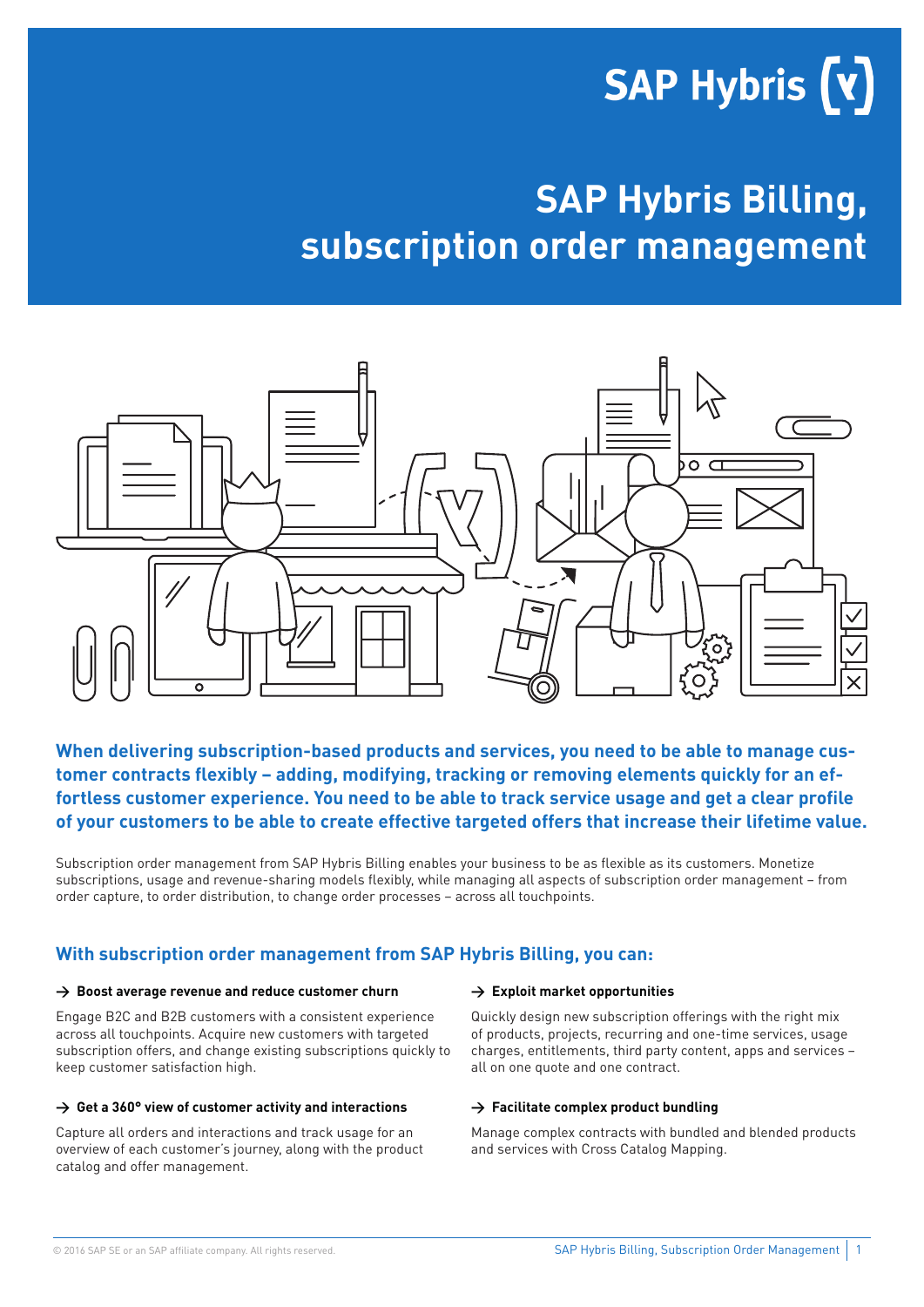# **SAP Hybris (Y)**

# **SAP Hybris Billing, subscription order management**



**When delivering subscription-based products and services, you need to be able to manage customer contracts flexibly – adding, modifying, tracking or removing elements quickly for an effortless customer experience. You need to be able to track service usage and get a clear profile of your customers to be able to create effective targeted offers that increase their lifetime value.**

Subscription order management from SAP Hybris Billing enables your business to be as flexible as its customers. Monetize subscriptions, usage and revenue-sharing models flexibly, while managing all aspects of subscription order management – from order capture, to order distribution, to change order processes – across all touchpoints.

# **With subscription order management from SAP Hybris Billing, you can:**

#### **→ Boost average revenue and reduce customer churn**

Engage B2C and B2B customers with a consistent experience across all touchpoints. Acquire new customers with targeted subscription offers, and change existing subscriptions quickly to keep customer satisfaction high.

#### **→ Get a 360° view of customer activity and interactions**

Capture all orders and interactions and track usage for an overview of each customer's journey, along with the product catalog and offer management.

#### **→ Exploit market opportunities**

Quickly design new subscription offerings with the right mix of products, projects, recurring and one-time services, usage charges, entitlements, third party content, apps and services – all on one quote and one contract.

#### **→ Facilitate complex product bundling**

Manage complex contracts with bundled and blended products and services with Cross Catalog Mapping.